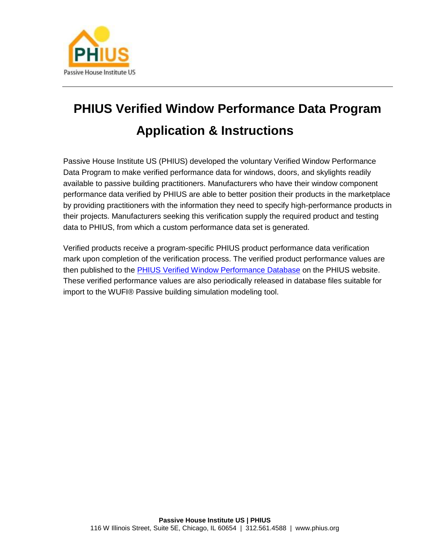

# PHIUS Verified Window Performance Data Program Application & Instructions

Passive House Institute US (PHIUS) developed the voluntary Verified Window Performance Data Program to make verified performance data for windows, doors, and skylights readily available to passive building practitioners. Manufacturers who have their window component performance data verified by PHIUS are able to better position their products in the marketplace by providing practitioners with the information they need to specify high-performance products in their projects. Manufacturers seeking this verification supply the required product and testing data to PHIUS, from which a custom performance data set is generated.

Verified products receive a program-specific PHIUS product performance data verification mark upon completion of the verification process. The verified product performance values are then published to the [PHIUS Verified Window Performance Database](http://www.phius.org/phius-certification-for-buildings-and-products/phius-product-data-certification/find-compare-windows) on the PHIUS website. These verified performance values are also periodically released in database files suitable for import to the WUFI® Passive building simulation modeling tool.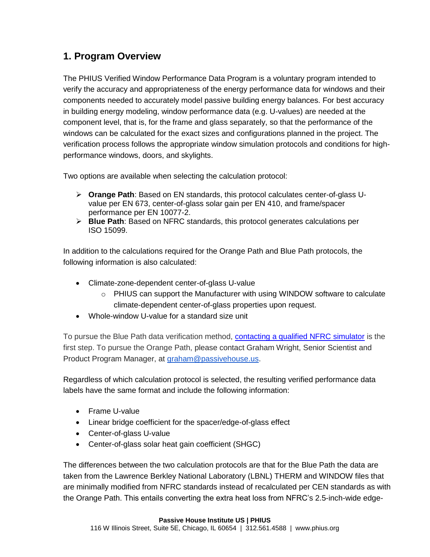## 1. Program Overview

The PHIUS Verified Window Performance Data Program is a voluntary program intended to verify the accuracy and appropriateness of the energy performance data for windows and their components needed to accurately model passive building energy balances. For best accuracy in building energy modeling, window performance data (e.g. U-values) are needed at the component level, that is, for the frame and glass separately, so that the performance of the windows can be calculated for the exact sizes and configurations planned in the project. The verification process follows the appropriate window simulation protocols and conditions for highperformance windows, doors, and skylights.

Two options are available when selecting the calculation protocol:

- ➢ Orange Path: Based on EN standards, this protocol calculates center-of-glass Uvalue per EN 673, center-of-glass solar gain per EN 410, and frame/spacer performance per EN 10077-2.
- ➢ Blue Path: Based on NFRC standards, this protocol generates calculations per ISO 15099.

In addition to the calculations required for the Orange Path and Blue Path protocols, the following information is also calculated:

- Climate-zone-dependent center-of-glass U-value
	- o PHIUS can support the Manufacturer with using WINDOW software to calculate climate-dependent center-of-glass properties upon request.
- Whole-window U-value for a standard size unit

To pursue the Blue Path data verification method, [contacting a qualified NFRC simulator](file:///C:/o%09http/::www.phius.org::phius-certification-for-buildings-and-products:phius-verified-window-performance-data-program:find-a-qualified-simulator-) is the first step. To pursue the Orange Path, please contact Graham Wright, Senior Scientist and Product Program Manager, at [graham@passivehouse.us.](mailto:graham@passivehouse.us)

Regardless of which calculation protocol is selected, the resulting verified performance data labels have the same format and include the following information:

- Frame U-value
- Linear bridge coefficient for the spacer/edge-of-glass effect
- Center-of-glass U-value
- Center-of-glass solar heat gain coefficient (SHGC)

The differences between the two calculation protocols are that for the Blue Path the data are taken from the Lawrence Berkley National Laboratory (LBNL) THERM and WINDOW files that are minimally modified from NFRC standards instead of recalculated per CEN standards as with the Orange Path. This entails converting the extra heat loss from NFRC's 2.5-inch-wide edge-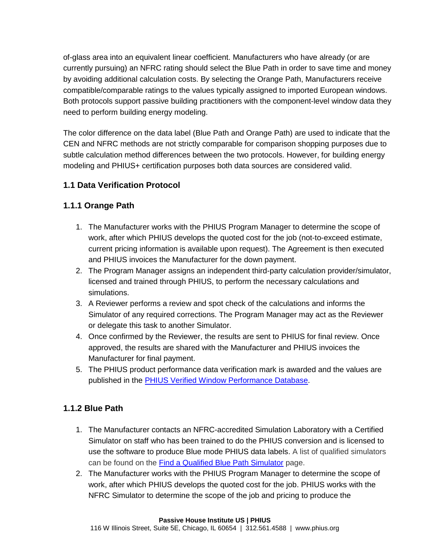of-glass area into an equivalent linear coefficient. Manufacturers who have already (or are currently pursuing) an NFRC rating should select the Blue Path in order to save time and money by avoiding additional calculation costs. By selecting the Orange Path, Manufacturers receive compatible/comparable ratings to the values typically assigned to imported European windows. Both protocols support passive building practitioners with the component-level window data they need to perform building energy modeling.

The color difference on the data label (Blue Path and Orange Path) are used to indicate that the CEN and NFRC methods are not strictly comparable for comparison shopping purposes due to subtle calculation method differences between the two protocols. However, for building energy modeling and PHIUS+ certification purposes both data sources are considered valid.

#### 1.1 Data Verification Protocol

#### 1.1.1 Orange Path

- 1. The Manufacturer works with the PHIUS Program Manager to determine the scope of work, after which PHIUS develops the quoted cost for the job (not-to-exceed estimate, current pricing information is available upon request). The Agreement is then executed and PHIUS invoices the Manufacturer for the down payment.
- 2. The Program Manager assigns an independent third-party calculation provider/simulator, licensed and trained through PHIUS, to perform the necessary calculations and simulations.
- 3. A Reviewer performs a review and spot check of the calculations and informs the Simulator of any required corrections. The Program Manager may act as the Reviewer or delegate this task to another Simulator.
- 4. Once confirmed by the Reviewer, the results are sent to PHIUS for final review. Once approved, the results are shared with the Manufacturer and PHIUS invoices the Manufacturer for final payment.
- 5. The PHIUS product performance data verification mark is awarded and the values are published in the [PHIUS Verified Window Performance Database.](http://www.phius.org/phius-certification-for-buildings-and-products/phius-product-data-certification/find-compare-windows)

#### 1.1.2 Blue Path

- 1. The Manufacturer contacts an NFRC-accredited Simulation Laboratory with a Certified Simulator on staff who has been trained to do the PHIUS conversion and is licensed to use the software to produce Blue mode PHIUS data labels. A list of qualified simulators can be found on the [Find a Qualified Blue Path Simulator](file:///C:/o%09http/::www.phius.org::phius-certification-for-buildings-and-products:phius-verified-window-performance-data-program:find-a-qualified-simulator-) page.
- 2. The Manufacturer works with the PHIUS Program Manager to determine the scope of work, after which PHIUS develops the quoted cost for the job. PHIUS works with the NFRC Simulator to determine the scope of the job and pricing to produce the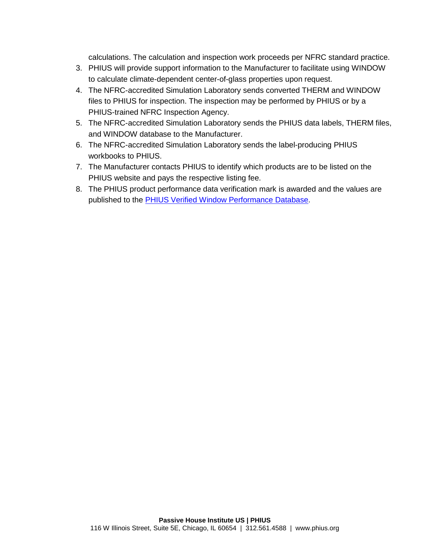calculations. The calculation and inspection work proceeds per NFRC standard practice.

- 3. PHIUS will provide support information to the Manufacturer to facilitate using WINDOW to calculate climate-dependent center-of-glass properties upon request.
- 4. The NFRC-accredited Simulation Laboratory sends converted THERM and WINDOW files to PHIUS for inspection. The inspection may be performed by PHIUS or by a PHIUS-trained NFRC Inspection Agency.
- 5. The NFRC-accredited Simulation Laboratory sends the PHIUS data labels, THERM files, and WINDOW database to the Manufacturer.
- 6. The NFRC-accredited Simulation Laboratory sends the label-producing PHIUS workbooks to PHIUS.
- 7. The Manufacturer contacts PHIUS to identify which products are to be listed on the PHIUS website and pays the respective listing fee.
- 8. The PHIUS product performance data verification mark is awarded and the values are published to the [PHIUS Verified Window Performance Database.](http://www.phius.org/phius-certification-for-buildings-and-products/phius-product-data-certification/find-compare-windows)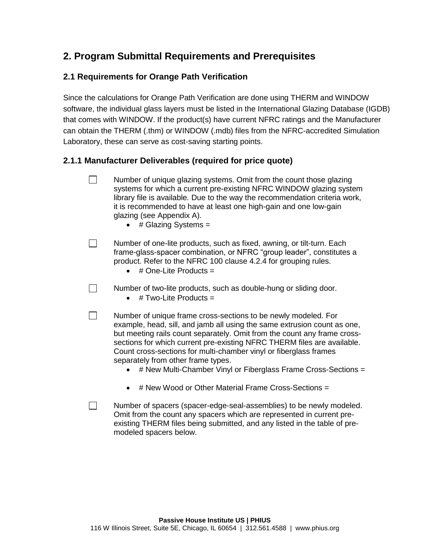## 2. Program Submittal Requirements and Prerequisites

#### 2.1 Requirements for Orange Path Verification

Since the calculations for Orange Path Verification are done using THERM and WINDOW software, the individual glass layers must be listed in the [International Glazing Database](http://windowoptics.lbl.gov/data/igdb) (IGDB) that comes with WINDOW. If the product(s) have current NFRC ratings and the Manufacturer can obtain the THERM (.thm) or WINDOW (.mdb) files from the NFRC-accredited Simulation Laboratory, these can serve as cost-saving starting points.

- 2.1.1 Manufacturer Deliverables (required for price quote)
	- $\Box$ Number of unique glazing systems. Omit from the count those glazing systems for which a current pre-existing NFRC WINDOW glazing system library file is available. Due to the way the recommendation criteria work, it is recommended to have at least one high-gain and one low-gain glazing (see Appendix A).
		- # Glazing Systems =
	- Number of one-lite products, such as fixed, awning, or tilt-turn. Each  $\Box$ frame-glass-spacer combination, or NFRC "group leader", constitutes a product. Refer to the NFRC 100 clause 4.2.4 for grouping rules.
		- $\bullet$  # One-Lite Products =
		- Number of two-lite products, such as double-hung or sliding door.
			- $\bullet$  # Two-Lite Products =

 $\Box$ 

 $\Box$ 

 $\Box$ 

- Number of unique frame cross-sections to be newly modeled. For example, head, sill, and jamb all using the same extrusion count as one, but meeting rails count separately. Omit from the count any frame crosssections for which current pre-existing NFRC THERM files are available. Count cross-sections for multi-chamber vinyl or fiberglass frames separately from other frame types.
	- # New Multi-Chamber Vinyl or Fiberglass Frame Cross-Sections =
	- # New Wood or Other Material Frame Cross-Sections =
- Number of spacers (spacer-edge-seal-assemblies) to be newly modeled. Omit from the count any spacers which are represented in current preexisting THERM files being submitted, and any listed in the table of premodeled spacers below.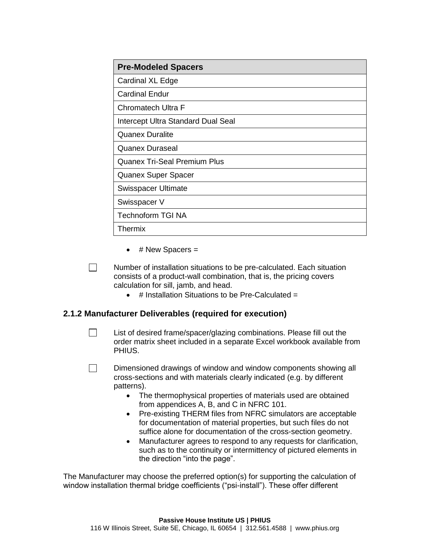| <b>Pre-Modeled Spacers</b>          |  |
|-------------------------------------|--|
| Cardinal XL Edge                    |  |
| <b>Cardinal Endur</b>               |  |
| Chromatech Ultra F                  |  |
| Intercept Ultra Standard Dual Seal  |  |
| <b>Quanex Duralite</b>              |  |
| <b>Quanex Duraseal</b>              |  |
| <b>Quanex Tri-Seal Premium Plus</b> |  |
| Quanex Super Spacer                 |  |
| Swisspacer Ultimate                 |  |
| Swisspacer V                        |  |
| <b>Technoform TGI NA</b>            |  |
| Thermix                             |  |

 $\bullet$  # New Spacers =

 $\Box$ Number of installation situations to be pre-calculated. Each situation consists of a product-wall combination, that is, the pricing covers calculation for sill, jamb, and head.

- # Installation Situations to be Pre-Calculated =
- 2.1.2 Manufacturer Deliverables (required for execution)

 $\Box$ 

List of desired frame/spacer/glazing combinations. Please fill out the order matrix sheet included in a separate Excel workbook available from PHIUS.

- $\Box$ Dimensioned drawings of window and window components showing all cross-sections and with materials clearly indicated (e.g. by different patterns).
	- The thermophysical properties of materials used are obtained from appendices A, B, and C in NFRC 101.
	- Pre-existing THERM files from NFRC simulators are acceptable for documentation of *material properties*, but such files do not suffice alone for documentation of the *cross-section geometry*.
	- Manufacturer agrees to respond to any requests for clarification, such as to the continuity or intermittency of pictured elements in the direction "into the page".

The Manufacturer may choose the preferred option(s) for supporting the calculation of window installation thermal bridge coefficients ("psi-install"). These offer different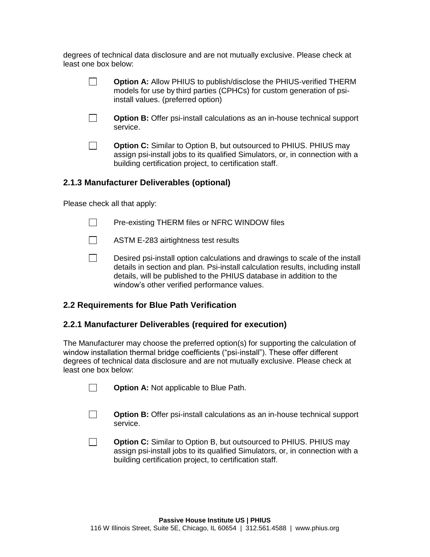degrees of technical data disclosure and are not mutually exclusive. Please check at least one box below:

|                                            | Option A: Allow PHIUS to publish/disclose the PHIUS-verified THERM<br>models for use by third parties (CPHCs) for custom generation of psi-<br>install values. (preferred option)                             |  |  |
|--------------------------------------------|---------------------------------------------------------------------------------------------------------------------------------------------------------------------------------------------------------------|--|--|
|                                            | Option B: Offer psi-install calculations as an in-house technical support<br>service.                                                                                                                         |  |  |
|                                            | Option C: Similar to Option B, but outsourced to PHIUS. PHIUS may<br>assign psi-install jobs to its qualified Simulators, or, in connection with a<br>building certification project, to certification staff. |  |  |
| 2.1.3 Manufacturer Deliverables (optional) |                                                                                                                                                                                                               |  |  |

Please check all that apply:

- $\Box$ Pre-existing THERM files or NFRC WINDOW files
- $\Box$ ASTM E-283 airtightness test results
- $\Box$ Desired psi-install option calculations and drawings to scale of the install details in section and plan. Psi-install calculation results, including install details, will be published to the PHIUS database in addition to the window's other verified performance values.
- 2.2 Requirements for Blue Path Verification
- 2.2.1 Manufacturer Deliverables (required for execution)

The Manufacturer may choose the preferred option(s) for supporting the calculation of window installation thermal bridge coefficients ("psi-install"). These offer different degrees of technical data disclosure and are not mutually exclusive. Please check at least one box below:

| $\Box$ | Option A: Not applicable to Blue Path. |
|--------|----------------------------------------|
|--------|----------------------------------------|

- $\Box$ Option B: Offer psi-install calculations as an in-house technical support service.
- $\Box$ Option C: Similar to Option B, but outsourced to PHIUS. PHIUS may assign psi-install jobs to its qualified Simulators, or, in connection with a building certification project, to certification staff.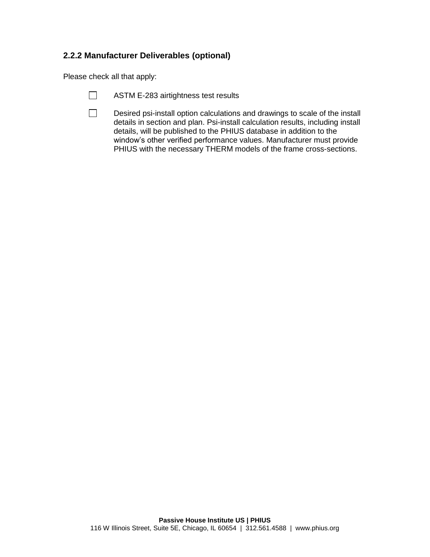## 2.2.2 Manufacturer Deliverables (optional)

Please check all that apply:

- $\Box$ ASTM E-283 airtightness test results
- $\Box$ Desired psi-install option calculations and drawings to scale of the install details in section and plan. Psi-install calculation results, including install details, will be published to the PHIUS database in addition to the window's other verified performance values. Manufacturer must provide PHIUS with the necessary THERM models of the frame cross-sections.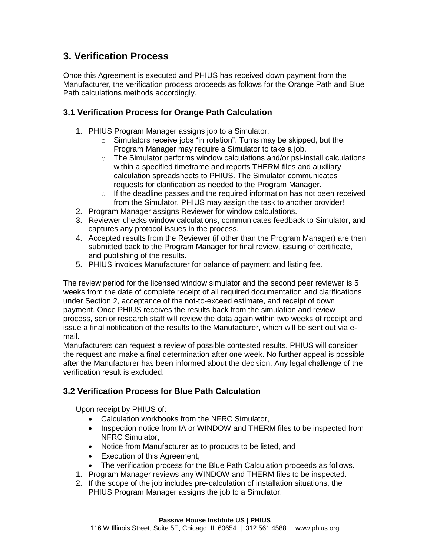#### 3. Verification Process

Once this Agreement is executed and PHIUS has received down payment from the Manufacturer, the verification process proceeds as follows for the Orange Path and Blue Path calculations methods accordingly.

- 3.1 Verification Process for Orange Path Calculation
	- 1. PHIUS Program Manager assigns job to a Simulator.
		- o Simulators receive jobs "in rotation". Turns may be skipped, but the Program Manager may require a Simulator to take a job.
		- $\circ$  The Simulator performs window calculations and/or psi-install calculations within a specified timeframe and reports THERM files and auxiliary calculation spreadsheets to PHIUS. The Simulator communicates requests for clarification as needed to the Program Manager.
		- $\circ$  If the deadline passes and the required information has not been received from the Simulator, PHIUS may assign the task to another provider!
	- 2. Program Manager assigns Reviewer for window calculations.
	- 3. Reviewer checks window calculations, communicates feedback to Simulator, and captures any protocol issues in the process.
	- 4. Accepted results from the Reviewer (if other than the Program Manager) are then submitted back to the Program Manager for final review, issuing of certificate, and publishing of the results.
	- 5. PHIUS invoices Manufacturer for balance of payment and listing fee.

The review period for the licensed window simulator and the second peer reviewer is 5 weeks from the date of complete receipt of all required documentation and clarifications under Section 2, acceptance of the not-to-exceed estimate, and receipt of down payment. Once PHIUS receives the results back from the simulation and review process, senior research staff will review the data again within two weeks of receipt and issue a final notification of the results to the Manufacturer, which will be sent out via email.

Manufacturers can request a review of possible contested results. PHIUS will consider the request and make a final determination after one week. No further appeal is possible after the Manufacturer has been informed about the decision. Any legal challenge of the verification result is excluded.

#### 3.2 Verification Process for Blue Path Calculation

Upon receipt by PHIUS of:

- Calculation workbooks from the NFRC Simulator,
- Inspection notice from IA or WINDOW and THERM files to be inspected from NFRC Simulator,
- Notice from Manufacturer as to products to be listed, and
- Execution of this Agreement,
- The verification process for the Blue Path Calculation proceeds as follows.
- 1. Program Manager reviews any WINDOW and THERM files to be inspected.
- 2. If the scope of the job includes pre-calculation of installation situations, the PHIUS Program Manager assigns the job to a Simulator.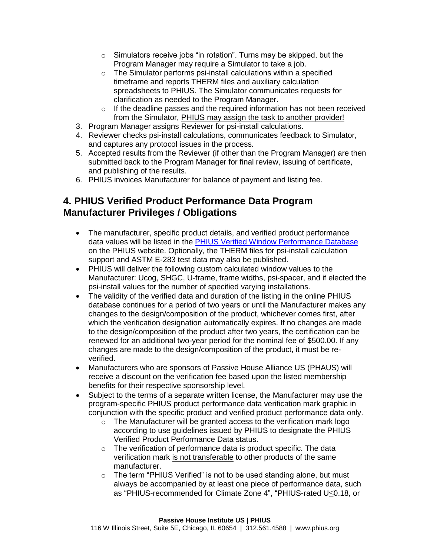- $\circ$  Simulators receive jobs "in rotation". Turns may be skipped, but the Program Manager may require a Simulator to take a job.
- $\circ$  The Simulator performs psi-install calculations within a specified timeframe and reports THERM files and auxiliary calculation spreadsheets to PHIUS. The Simulator communicates requests for clarification as needed to the Program Manager.
- o If the deadline passes and the required information has not been received from the Simulator, PHIUS may assign the task to another provider!
- 3. Program Manager assigns Reviewer for psi-install calculations.
- 4. Reviewer checks psi-install calculations, communicates feedback to Simulator, and captures any protocol issues in the process.
- 5. Accepted results from the Reviewer (if other than the Program Manager) are then submitted back to the Program Manager for final review, issuing of certificate, and publishing of the results.
- 6. PHIUS invoices Manufacturer for balance of payment and listing fee.

## 4. PHIUS Verified Product Performance Data Program Manufacturer Privileges / Obligations

- The manufacturer, specific product details, and verified product performance data values will be listed in the [PHIUS Verified Window Performance Database](http://www.phius.org/phius-certification-for-buildings-and-products/phius-product-data-certification/find-compare-windows) on the PHIUS website. Optionally, the THERM files for psi-install calculation support and ASTM E-283 test data may also be published.
- PHIUS will deliver the following custom calculated window values to the Manufacturer: Ucog, SHGC, U-frame, frame widths, psi-spacer, and if elected the psi-install values for the number of specified varying installations.
- The validity of the verified data and duration of the listing in the online PHIUS database continues for a period of two years or until the Manufacturer makes any changes to the design/composition of the product, whichever comes first, after which the verification designation automatically expires. If no changes are made to the design/composition of the product after two years, the certification can be renewed for an additional two-year period for the nominal fee of \$500.00. If any changes are made to the design/composition of the product, it must be reverified.
- Manufacturers who are sponsors of Passive House Alliance US (PHAUS) will receive a discount on the verification fee based upon the listed membership benefits for their respective sponsorship level.
- Subject to the terms of a separate written license, the Manufacturer may use the program-specific PHIUS product performance data verification mark graphic in conjunction with the specific product and verified product performance data only.
	- o The Manufacturer will be granted access to the verification mark logo according to use guidelines issued by PHIUS to designate the PHIUS Verified Product Performance Data status.
	- o The verification of performance data is product specific. The data verification mark *is not transferable* to other products of the same manufacturer.
	- o The term "PHIUS Verified" is not to be used standing alone, but must always be accompanied by at least one piece of performance data, such as "PHIUS-recommended for Climate Zone 4", "PHIUS-rated U≤0.18, or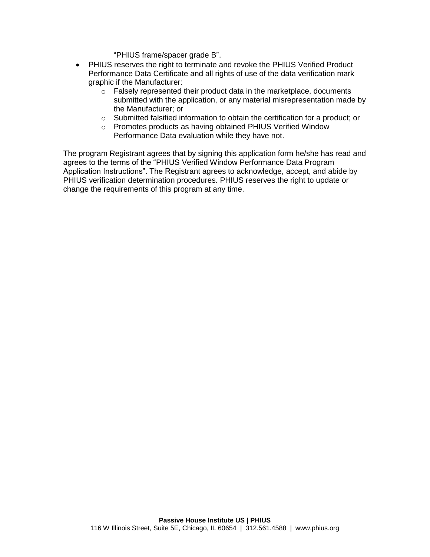"PHIUS frame/spacer grade B".

- PHIUS reserves the right to terminate and revoke the PHIUS Verified Product Performance Data Certificate and all rights of use of the data verification mark graphic if the Manufacturer:
	- $\circ$  Falsely represented their product data in the marketplace, documents submitted with the application, or any material misrepresentation made by the Manufacturer; or
	- o Submitted falsified information to obtain the certification for a product; or
	- o Promotes products as having obtained PHIUS Verified Window Performance Data evaluation while they have not.

The program Registrant agrees that by signing this application form he/she has read and agrees to the terms of the "PHIUS Verified Window Performance Data Program Application Instructions". The Registrant agrees to acknowledge, accept, and abide by PHIUS verification determination procedures. PHIUS reserves the right to update or change the requirements of this program at any time.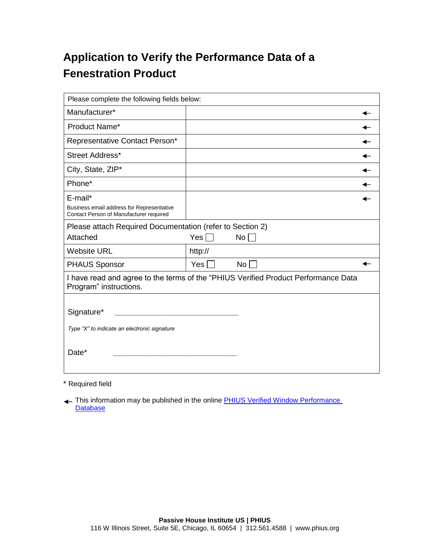## Application to Verify the Performance Data of a Fenestration Product

| Please complete the following fields below:                                                                  |              |                 |  |  |
|--------------------------------------------------------------------------------------------------------------|--------------|-----------------|--|--|
| Manufacturer*                                                                                                |              |                 |  |  |
| Product Name*                                                                                                |              |                 |  |  |
| Representative Contact Person*                                                                               |              |                 |  |  |
| Street Address*                                                                                              |              |                 |  |  |
| City, State, ZIP*                                                                                            |              |                 |  |  |
| Phone*                                                                                                       |              |                 |  |  |
| E-mail*<br>Business email address for Representative<br>Contact Person of Manufacturer required              |              |                 |  |  |
| Please attach Required Documentation (refer to Section 2)                                                    |              |                 |  |  |
| Attached                                                                                                     | Yes $\lceil$ | No <sub>1</sub> |  |  |
| <b>Website URL</b>                                                                                           | http://      |                 |  |  |
| <b>PHAUS Sponsor</b>                                                                                         | Yes          | $No \Box$       |  |  |
| I have read and agree to the terms of the "PHIUS Verified Product Performance Data<br>Program" instructions. |              |                 |  |  |
| Signature*<br>Type "X" to indicate an electronic signature<br>Date*                                          |              |                 |  |  |

\* Required field

This information may be published in the online **PHIUS** Verified Window Performance **[Database](http://www.phius.org/phius-certification-for-buildings-and-products/phius-product-data-certification/find-compare-windows)**